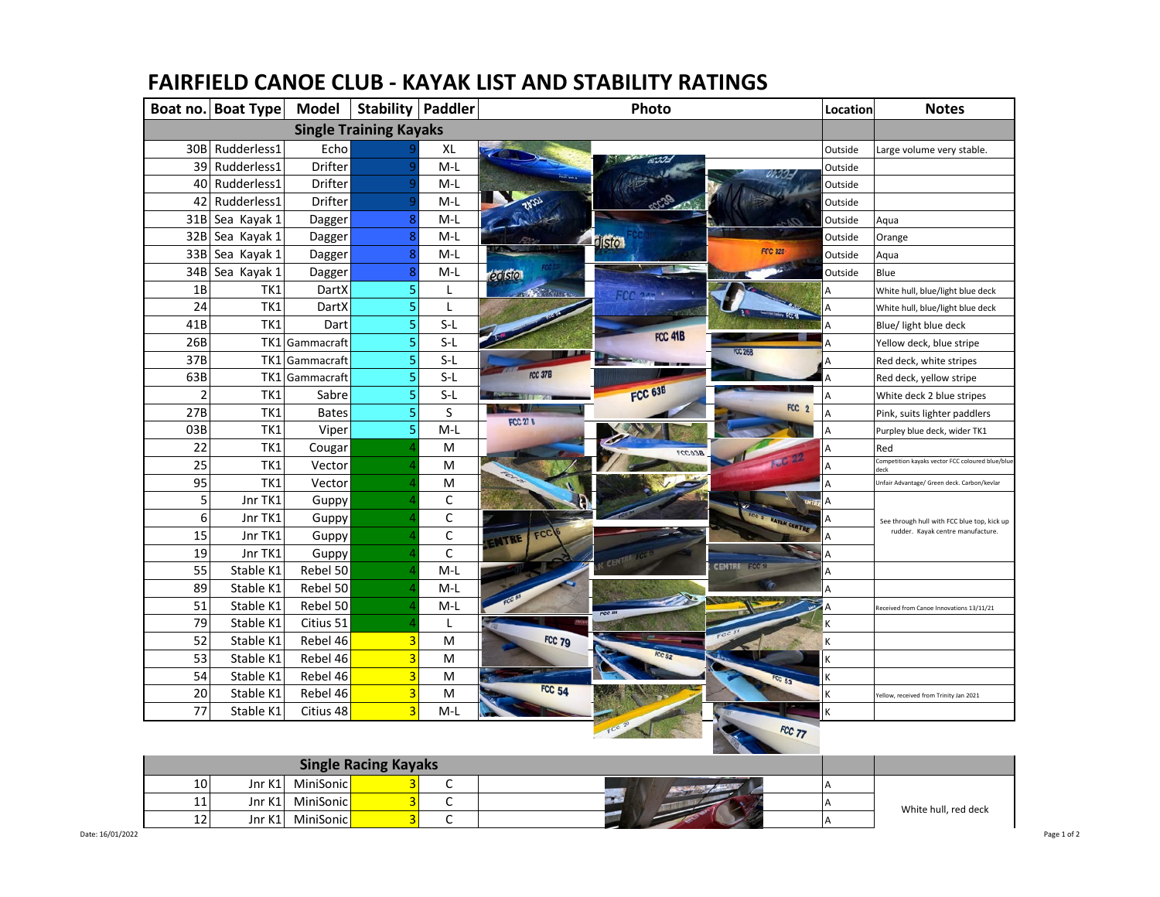|                               | Boat no. Boat Type | <b>Model</b>   |                | <b>Stability   Paddler</b> | Photo                               | Location | <b>Notes</b>                                            |
|-------------------------------|--------------------|----------------|----------------|----------------------------|-------------------------------------|----------|---------------------------------------------------------|
| <b>Single Training Kayaks</b> |                    |                |                |                            |                                     |          |                                                         |
|                               | 30B Rudderless1    | Echo           |                | XL                         |                                     | Outside  | Large volume very stable.                               |
|                               | 39 Rudderless1     | Drifter        |                | $M-L$                      |                                     | Outside  |                                                         |
|                               | 40 Rudderless1     | Drifter        |                | $M-L$                      |                                     | Outside  |                                                         |
| 42                            | Rudderless1        | Drifter        |                | $M-L$                      |                                     | Outside  |                                                         |
|                               | 31B Sea Kayak 1    | Dagger         | 8              | M-L                        |                                     | Outside  | Aqua                                                    |
|                               | 32B Sea Kayak 1    | Dagger         | 8              | $M-L$                      | <b>Isto</b>                         | Outside  | Orange                                                  |
|                               | 33B Sea Kayak 1    | Dagger         | 8              | $M-L$                      | <b>FCC 328</b>                      | Outside  | Aqua                                                    |
|                               | 34B Sea Kayak 1    | Dagger         | 8              | $M-L$                      | edision                             | Outside  | Blue                                                    |
| 1B                            | TK1                | DartX          | 5              | L                          |                                     |          | White hull, blue/light blue deck                        |
| 24                            | TK1                | DartX          | 5              | L                          |                                     |          | White hull, blue/light blue deck                        |
| 41B                           | TK1                | Dart           | 5              | $S-L$                      |                                     |          | Blue/ light blue deck                                   |
| 26B                           |                    | TK1 Gammacraft | 5              | $S-L$                      | FCC 41B                             |          | Yellow deck, blue stripe                                |
| 37B                           |                    | TK1 Gammacraft | 5              | $S-L$                      | <b>FCC 26B</b>                      |          | Red deck, white stripes                                 |
| 63B                           |                    | TK1 Gammacraft | $\overline{5}$ | $S-L$                      | FCC 37B                             |          | Red deck, yellow stripe                                 |
| $\overline{2}$                | TK1                | Sabre          | 5              | $S-L$                      | FCC 63B                             |          | White deck 2 blue stripes                               |
| 27B                           | TK1                | <b>Bates</b>   | 5              | S                          | FCC <sub>2</sub><br><b>FCC 27 B</b> | А        | Pink, suits lighter paddlers                            |
| 03B                           | TK1                | Viper          | 5              | $M-L$                      |                                     |          | Purpley blue deck, wider TK1                            |
| 22                            | TK1                | Cougar         |                | M                          | 960327                              |          | Red                                                     |
| 25                            | TK1                | Vector         |                | M                          |                                     | А        | ompetition kayaks vector FCC coloured blue/blu-<br>deck |
| 95                            | TK1                | Vector         |                | M                          |                                     | А        | Unfair Advantage/ Green deck. Carbon/kevlar             |
| 5                             | Jnr TK1            | Guppy          |                | C                          |                                     | A        |                                                         |
| 6                             | Jnr TK1            | Guppy          |                | С                          | FCC 5 WATAN CENTRE                  |          | See through hull with FCC blue top, kick up             |
| 15                            | Jnr TK1            | Guppy          |                | С                          | FCC<br><b>NTRE</b>                  |          | rudder. Kayak centre manufacture.                       |
| 19                            | Jnr TK1            | Guppy          |                | C                          |                                     |          |                                                         |
| 55                            | Stable K1          | Rebel 50       |                | $M-L$                      | <b>CENTRE FCCET</b>                 | А        |                                                         |
| 89                            | Stable K1          | Rebel 50       |                | M-L                        |                                     |          |                                                         |
| 51                            | Stable K1          | Rebel 50       |                | M-L                        |                                     |          | Received from Canoe Innovations 13/11/21                |
| 79                            | Stable K1          | Citius 51      |                | L                          |                                     |          |                                                         |
| 52                            | Stable K1          | Rebel 46       | 3              | M                          | FCC 79                              |          |                                                         |
| 53                            | Stable K1          | Rebel 46       | $\overline{3}$ | M                          |                                     |          |                                                         |
| 54                            | Stable K1          | Rebel 46       | 3              | M                          |                                     |          |                                                         |
| 20                            | Stable K1          | Rebel 46       | 3              | M                          | <b>FCC 54</b>                       |          | Yellow, received from Trinity Jan 2021                  |
| 77                            | Stable K1          | Citius 48      | $\overline{3}$ | $M-L$                      |                                     |          |                                                         |
|                               |                    |                |                |                            | FCC 77                              |          |                                                         |

## **FAIRFIELD CANOE CLUB - KAYAK LIST AND STABILITY RATINGS**

| <b>Single Racing Kayaks</b> |        |                           |  |  |  |                      |
|-----------------------------|--------|---------------------------|--|--|--|----------------------|
| 10                          | Jnr K1 | MiniSonic <mark>l</mark>  |  |  |  |                      |
| 11 <sup>1</sup>             |        | Jnr K1 MiniSonic          |  |  |  | White hull, red deck |
| 12                          | Jnr K1 | MiniSonicl <mark>l</mark> |  |  |  |                      |